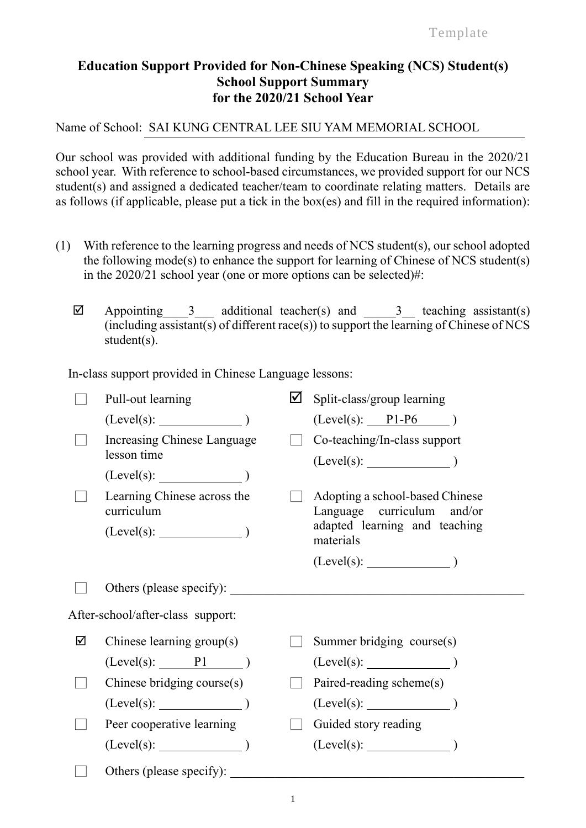## **Education Support Provided for Non-Chinese Speaking (NCS) Student(s) School Support Summary for the 2020/21 School Year**

Name of School: SAI KUNG CENTRAL LEE SIU YAM MEMORIAL SCHOOL

Our school was provided with additional funding by the Education Bureau in the 2020/21 school year. With reference to school-based circumstances, we provided support for our NCS student(s) and assigned a dedicated teacher/team to coordinate relating matters. Details are as follows (if applicable, please put a tick in the box(es) and fill in the required information):

- (1) With reference to the learning progress and needs of NCS student(s), our school adopted the following mode(s) to enhance the support for learning of Chinese of NCS student(s) in the 2020/21 school year (one or more options can be selected)#:
	- $\boxtimes$  Appointing 3 additional teacher(s) and 3 teaching assistant(s) (including assistant(s) of different race(s)) to support the learning of Chinese of NCS student(s).

In-class support provided in Chinese Language lessons:

|                                   | Pull-out learning                         | ☑ | Split-class/group learning                                    |  |
|-----------------------------------|-------------------------------------------|---|---------------------------------------------------------------|--|
|                                   |                                           |   | $(Level(s):$ $PI-P6$ )                                        |  |
|                                   | Increasing Chinese Language               |   | Co-teaching/In-class support                                  |  |
|                                   | lesson time                               |   |                                                               |  |
|                                   | (Level(s):                                |   |                                                               |  |
|                                   | Learning Chinese across the<br>curriculum |   | Adopting a school-based Chinese<br>Language curriculum and/or |  |
|                                   | $(Level(s):$ $)$                          |   | adapted learning and teaching<br>materials                    |  |
|                                   |                                           |   | $(Level(s):$ $)$                                              |  |
|                                   | Others (please specify):                  |   |                                                               |  |
| After-school/after-class support: |                                           |   |                                                               |  |
| ☑                                 | Chinese learning group(s)                 |   | Summer bridging course(s)                                     |  |
|                                   | $(Level(s):$ P1 $)$                       |   |                                                               |  |
|                                   | Chinese bridging course(s)                |   | Paired-reading scheme(s)                                      |  |
|                                   | (Level(s):                                |   | $(Level(s):$ $)$                                              |  |
|                                   | Peer cooperative learning                 |   | Guided story reading                                          |  |
|                                   | (Level(s):                                |   | $(Level(s):$ (Level(s):                                       |  |
|                                   | Others (please specify):                  |   |                                                               |  |